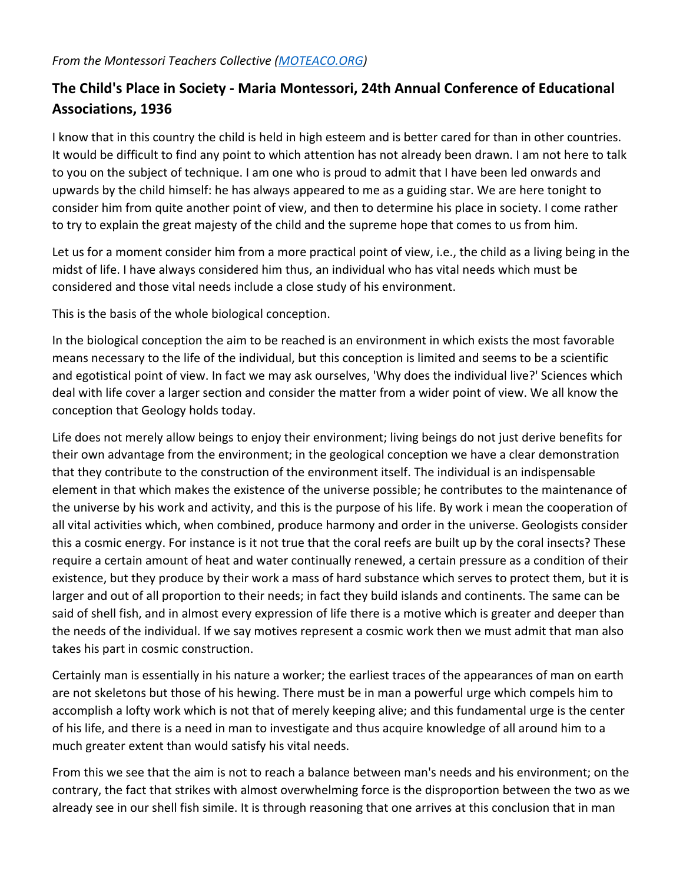## **The Child's Place in Society - Maria Montessori, 24th Annual Conference of Educational Associations, 1936**

I know that in this country the child is held in high esteem and is better cared for than in other countries. It would be difficult to find any point to which attention has not already been drawn. I am not here to talk to you on the subject of technique. I am one who is proud to admit that I have been led onwards and upwards by the child himself: he has always appeared to me as a guiding star. We are here tonight to consider him from quite another point of view, and then to determine his place in society. I come rather to try to explain the great majesty of the child and the supreme hope that comes to us from him.

Let us for a moment consider him from a more practical point of view, i.e., the child as a living being in the midst of life. I have always considered him thus, an individual who has vital needs which must be considered and those vital needs include a close study of his environment.

This is the basis of the whole biological conception.

In the biological conception the aim to be reached is an environment in which exists the most favorable means necessary to the life of the individual, but this conception is limited and seems to be a scientific and egotistical point of view. In fact we may ask ourselves, 'Why does the individual live?' Sciences which deal with life cover a larger section and consider the matter from a wider point of view. We all know the conception that Geology holds today.

Life does not merely allow beings to enjoy their environment; living beings do not just derive benefits for their own advantage from the environment; in the geological conception we have a clear demonstration that they contribute to the construction of the environment itself. The individual is an indispensable element in that which makes the existence of the universe possible; he contributes to the maintenance of the universe by his work and activity, and this is the purpose of his life. By work i mean the cooperation of all vital activities which, when combined, produce harmony and order in the universe. Geologists consider this a cosmic energy. For instance is it not true that the coral reefs are built up by the coral insects? These require a certain amount of heat and water continually renewed, a certain pressure as a condition of their existence, but they produce by their work a mass of hard substance which serves to protect them, but it is larger and out of all proportion to their needs; in fact they build islands and continents. The same can be said of shell fish, and in almost every expression of life there is a motive which is greater and deeper than the needs of the individual. If we say motives represent a cosmic work then we must admit that man also takes his part in cosmic construction.

Certainly man is essentially in his nature a worker; the earliest traces of the appearances of man on earth are not skeletons but those of his hewing. There must be in man a powerful urge which compels him to accomplish a lofty work which is not that of merely keeping alive; and this fundamental urge is the center of his life, and there is a need in man to investigate and thus acquire knowledge of all around him to a much greater extent than would satisfy his vital needs.

From this we see that the aim is not to reach a balance between man's needs and his environment; on the contrary, the fact that strikes with almost overwhelming force is the disproportion between the two as we already see in our shell fish simile. It is through reasoning that one arrives at this conclusion that in man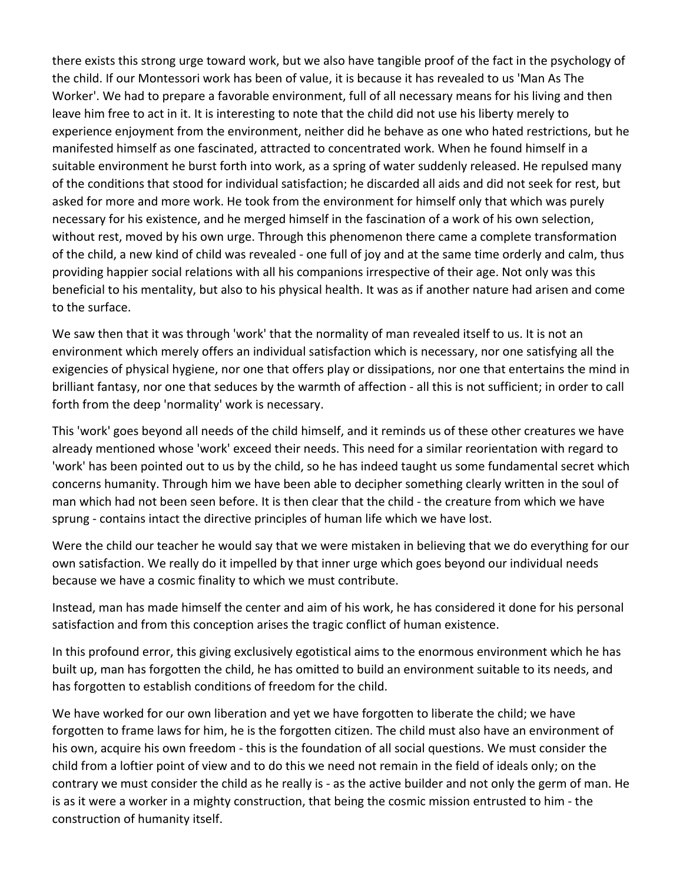there exists this strong urge toward work, but we also have tangible proof of the fact in the psychology of the child. If our Montessori work has been of value, it is because it has revealed to us 'Man As The Worker'. We had to prepare a favorable environment, full of all necessary means for his living and then leave him free to act in it. It is interesting to note that the child did not use his liberty merely to experience enjoyment from the environment, neither did he behave as one who hated restrictions, but he manifested himself as one fascinated, attracted to concentrated work. When he found himself in a suitable environment he burst forth into work, as a spring of water suddenly released. He repulsed many of the conditions that stood for individual satisfaction; he discarded all aids and did not seek for rest, but asked for more and more work. He took from the environment for himself only that which was purely necessary for his existence, and he merged himself in the fascination of a work of his own selection, without rest, moved by his own urge. Through this phenomenon there came a complete transformation of the child, a new kind of child was revealed - one full of joy and at the same time orderly and calm, thus providing happier social relations with all his companions irrespective of their age. Not only was this beneficial to his mentality, but also to his physical health. It was as if another nature had arisen and come to the surface.

We saw then that it was through 'work' that the normality of man revealed itself to us. It is not an environment which merely offers an individual satisfaction which is necessary, nor one satisfying all the exigencies of physical hygiene, nor one that offers play or dissipations, nor one that entertains the mind in brilliant fantasy, nor one that seduces by the warmth of affection - all this is not sufficient; in order to call forth from the deep 'normality' work is necessary.

This 'work' goes beyond all needs of the child himself, and it reminds us of these other creatures we have already mentioned whose 'work' exceed their needs. This need for a similar reorientation with regard to 'work' has been pointed out to us by the child, so he has indeed taught us some fundamental secret which concerns humanity. Through him we have been able to decipher something clearly written in the soul of man which had not been seen before. It is then clear that the child - the creature from which we have sprung - contains intact the directive principles of human life which we have lost.

Were the child our teacher he would say that we were mistaken in believing that we do everything for our own satisfaction. We really do it impelled by that inner urge which goes beyond our individual needs because we have a cosmic finality to which we must contribute.

Instead, man has made himself the center and aim of his work, he has considered it done for his personal satisfaction and from this conception arises the tragic conflict of human existence.

In this profound error, this giving exclusively egotistical aims to the enormous environment which he has built up, man has forgotten the child, he has omitted to build an environment suitable to its needs, and has forgotten to establish conditions of freedom for the child.

We have worked for our own liberation and yet we have forgotten to liberate the child; we have forgotten to frame laws for him, he is the forgotten citizen. The child must also have an environment of his own, acquire his own freedom - this is the foundation of all social questions. We must consider the child from a loftier point of view and to do this we need not remain in the field of ideals only; on the contrary we must consider the child as he really is - as the active builder and not only the germ of man. He is as it were a worker in a mighty construction, that being the cosmic mission entrusted to him - the construction of humanity itself.